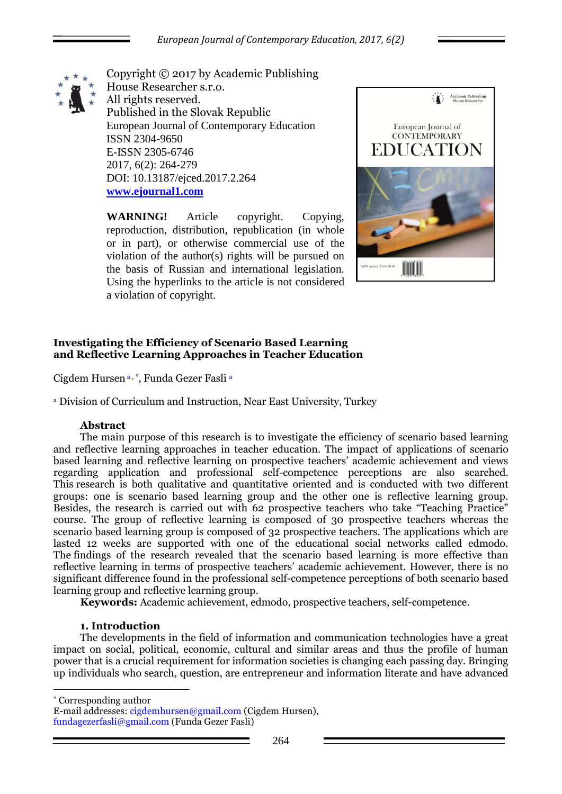

Copyright © 2017 by Academic Publishing House Researcher s.r.o. All rights reserved. Published in the Slovak Republic European Journal of Contemporary Education ISSN 2304-9650 E-ISSN 2305-6746 2017, 6(2): 264-279 DOI: 10.13187/ejced.2017.2.264 **[www.ejournal1.com](http://www.ejournal1.com/)**

**WARNING!** Article copyright. Copying, reproduction, distribution, republication (in whole or in part), or otherwise commercial use of the violation of the author(s) rights will be pursued on the basis of Russian and international legislation. Using the hyperlinks to the article is not considered a violation of copyright.



# **Investigating the Efficiency of Scenario Based Learning and Reflective Learning Approaches in Teacher Education**

Cigdem Hursen<sup>a,</sup>\*, Funda Gezer Fasli<sup>a</sup>

<sup>a</sup> Division of Curriculum and Instruction, Near East University, Turkey

# **Abstract**

The main purpose of this research is to investigate the efficiency of scenario based learning and reflective learning approaches in teacher education. The impact of applications of scenario based learning and reflective learning on prospective teachers' academic achievement and views regarding application and professional self-competence perceptions are also searched. This research is both qualitative and quantitative oriented and is conducted with two different groups: one is scenario based learning group and the other one is reflective learning group. Besides, the research is carried out with 62 prospective teachers who take "Teaching Practice" course. The group of reflective learning is composed of 30 prospective teachers whereas the scenario based learning group is composed of 32 prospective teachers. The applications which are lasted 12 weeks are supported with one of the educational social networks called edmodo. The findings of the research revealed that the scenario based learning is more effective than reflective learning in terms of prospective teachers' academic achievement. However, there is no significant difference found in the professional self-competence perceptions of both scenario based learning group and reflective learning group.

**Keywords:** Academic achievement, edmodo, prospective teachers, self-competence.

### **1. Introduction**

The developments in the field of information and communication technologies have a great impact on social, political, economic, cultural and similar areas and thus the profile of human power that is a crucial requirement for information societies is changing each passing day. Bringing up individuals who search, question, are entrepreneur and information literate and have advanced

\* Corresponding author

1

E-mail addresses: cigdemhursen@gmail.com (Cigdem Hursen), fundagezerfasli@gmail.com (Funda Gezer Fasli)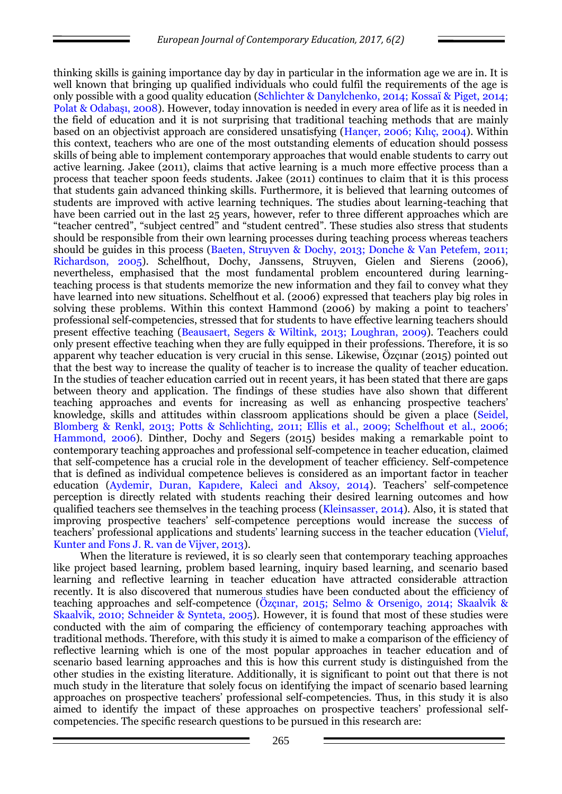thinking skills is gaining importance day by day in particular in the information age we are in. It is well known that bringing up qualified individuals who could fulfil the requirements of the age is only possible with a good quality education (Schlichter & Danylchenko, 2014; Kossaï & Piget, 2014; Polat & Odabaşı, 2008). However, today innovation is needed in every area of life as it is needed in the field of education and it is not surprising that traditional teaching methods that are mainly based on an objectivist approach are considered unsatisfying (Hançer, 2006; Kılıç, 2004). Within this context, teachers who are one of the most outstanding elements of education should possess skills of being able to implement contemporary approaches that would enable students to carry out active learning. Jakee (2011), claims that active learning is a much more effective process than a process that teacher spoon feeds students. Jakee (2011) continues to claim that it is this process that students gain advanced thinking skills. Furthermore, it is believed that learning outcomes of students are improved with active learning techniques. The studies about learning-teaching that have been carried out in the last 25 years, however, refer to three different approaches which are "teacher centred", "subject centred" and "student centred". These studies also stress that students should be responsible from their own learning processes during teaching process whereas teachers should be guides in this process (Baeten, Struyven & Dochy, 2013; Donche & Van Petefem, 2011; Richardson, 2005). Schelfhout, Dochy, Janssens, Struyven, Gielen and Sierens (2006), nevertheless, emphasised that the most fundamental problem encountered during learningteaching process is that students memorize the new information and they fail to convey what they have learned into new situations. Schelfhout et al. (2006) expressed that teachers play big roles in solving these problems. Within this context Hammond (2006) by making a point to teachers' professional self-competencies, stressed that for students to have effective learning teachers should present effective teaching (Beausaert, Segers & Wiltink, 2013; Loughran, 2009). Teachers could only present effective teaching when they are fully equipped in their professions. Therefore, it is so apparent why teacher education is very crucial in this sense. Likewise, Özçınar (2015) pointed out that the best way to increase the quality of teacher is to increase the quality of teacher education. In the studies of teacher education carried out in recent years, it has been stated that there are gaps between theory and application. The findings of these studies have also shown that different teaching approaches and events for increasing as well as enhancing prospective teachers' knowledge, skills and attitudes within classroom applications should be given a place (Seidel, Blomberg & Renkl, 2013; Potts & Schlichting, 2011; Ellis et al., 2009; Schelfhout et al., 2006; Hammond, 2006). Dinther, Dochy and Segers (2015) besides making a remarkable point to contemporary teaching approaches and professional self-competence in teacher education, claimed that self-competence has a crucial role in the development of teacher efficiency. Self-competence that is defined as individual competence believes is considered as an important factor in teacher education (Aydemir, Duran, Kapıdere, Kaleci and Aksoy, 2014). Teachers' self-competence perception is directly related with students reaching their desired learning outcomes and how qualified teachers see themselves in the teaching process (Kleinsasser, 2014). Also, it is stated that improving prospective teachers' self-competence perceptions would increase the success of teachers' professional applications and students' learning success in the teacher education (Vieluf, Kunter and Fons J. R. van de Vijver, 2013).

When the literature is reviewed, it is so clearly seen that contemporary teaching approaches like project based learning, problem based learning, inquiry based learning, and scenario based learning and reflective learning in teacher education have attracted considerable attraction recently. It is also discovered that numerous studies have been conducted about the efficiency of teaching approaches and self-competence (Özçınar, 2015; Selmo & Orsenigo, 2014; Skaalvik & Skaalvik, 2010; Schneider & Synteta, 2005). However, it is found that most of these studies were conducted with the aim of comparing the efficiency of contemporary teaching approaches with traditional methods. Therefore, with this study it is aimed to make a comparison of the efficiency of reflective learning which is one of the most popular approaches in teacher education and of scenario based learning approaches and this is how this current study is distinguished from the other studies in the existing literature. Additionally, it is significant to point out that there is not much study in the literature that solely focus on identifying the impact of scenario based learning approaches on prospective teachers' professional self-competencies. Thus, in this study it is also aimed to identify the impact of these approaches on prospective teachers' professional selfcompetencies. The specific research questions to be pursued in this research are: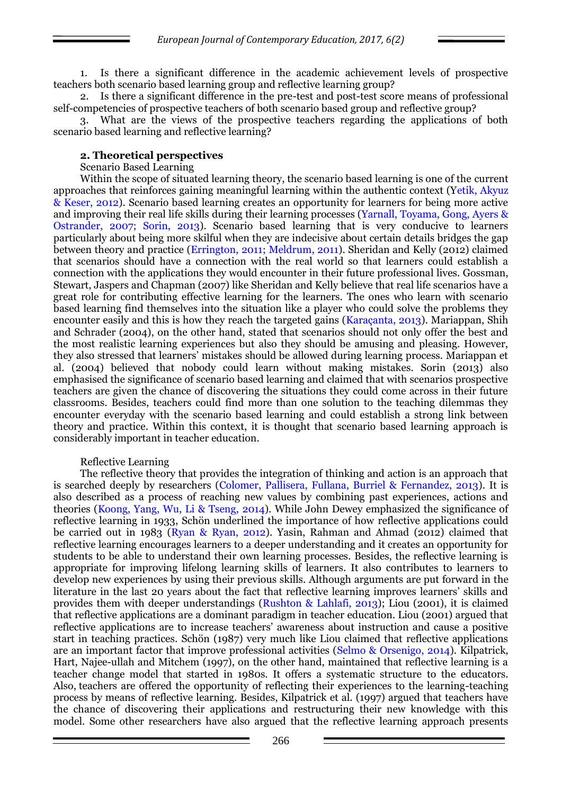1. Is there a significant difference in the academic achievement levels of prospective teachers both scenario based learning group and reflective learning group?

2. Is there a significant difference in the pre-test and post-test score means of professional self-competencies of prospective teachers of both scenario based group and reflective group?

3. What are the views of the prospective teachers regarding the applications of both scenario based learning and reflective learning?

#### **2. Theoretical perspectives**

#### Scenario Based Learning

Within the scope of situated learning theory, the scenario based learning is one of the current approaches that reinforces gaining meaningful learning within the authentic context (Yetik, Akyuz & Keser, 2012). Scenario based learning creates an opportunity for learners for being more active and improving their real life skills during their learning processes (Yarnall, Toyama, Gong, Ayers & Ostrander, 2007; Sorin, 2013). Scenario based learning that is very conducive to learners particularly about being more skilful when they are indecisive about certain details bridges the gap between theory and practice (Errington, 2011; Meldrum, 2011). Sheridan and Kelly (2012) claimed that scenarios should have a connection with the real world so that learners could establish a connection with the applications they would encounter in their future professional lives. Gossman, Stewart, Jaspers and Chapman (2007) like Sheridan and Kelly believe that real life scenarios have a great role for contributing effective learning for the learners. The ones who learn with scenario based learning find themselves into the situation like a player who could solve the problems they encounter easily and this is how they reach the targeted gains (Karaçanta, 2013). Mariappan, Shih and Schrader (2004), on the other hand, stated that scenarios should not only offer the best and the most realistic learning experiences but also they should be amusing and pleasing. However, they also stressed that learners' mistakes should be allowed during learning process. Mariappan et al. (2004) believed that nobody could learn without making mistakes. Sorin (2013) also emphasised the significance of scenario based learning and claimed that with scenarios prospective teachers are given the chance of discovering the situations they could come across in their future classrooms. Besides, teachers could find more than one solution to the teaching dilemmas they encounter everyday with the scenario based learning and could establish a strong link between theory and practice. Within this context, it is thought that scenario based learning approach is considerably important in teacher education.

### Reflective Learning

The reflective theory that provides the integration of thinking and action is an approach that is searched deeply by researchers (Colomer, Pallisera, Fullana, Burriel & Fernandez, 2013). It is also described as a process of reaching new values by combining past experiences, actions and theories (Koong, Yang, Wu, Li & Tseng, 2014). While John Dewey emphasized the significance of reflective learning in 1933, Schön underlined the importance of how reflective applications could be carried out in 1983 (Ryan & Ryan, 2012). Yasin, Rahman and Ahmad (2012) claimed that reflective learning encourages learners to a deeper understanding and it creates an opportunity for students to be able to understand their own learning processes. Besides, the reflective learning is appropriate for improving lifelong learning skills of learners. It also contributes to learners to develop new experiences by using their previous skills. Although arguments are put forward in the literature in the last 20 years about the fact that reflective learning improves learners' skills and provides them with deeper understandings (Rushton & Lahlafi, 2013); Liou (2001), it is claimed that reflective applications are a dominant paradigm in teacher education. Liou (2001) argued that reflective applications are to increase teachers' awareness about instruction and cause a positive start in teaching practices. Schön (1987) very much like Liou claimed that reflective applications are an important factor that improve professional activities (Selmo & Orsenigo, 2014). Kilpatrick, Hart, Najee-ullah and Mitchem (1997), on the other hand, maintained that reflective learning is a teacher change model that started in 1980s. It offers a systematic structure to the educators. Also, teachers are offered the opportunity of reflecting their experiences to the learning-teaching process by means of reflective learning. Besides, Kilpatrick et al. (1997) argued that teachers have the chance of discovering their applications and restructuring their new knowledge with this model. Some other researchers have also argued that the reflective learning approach presents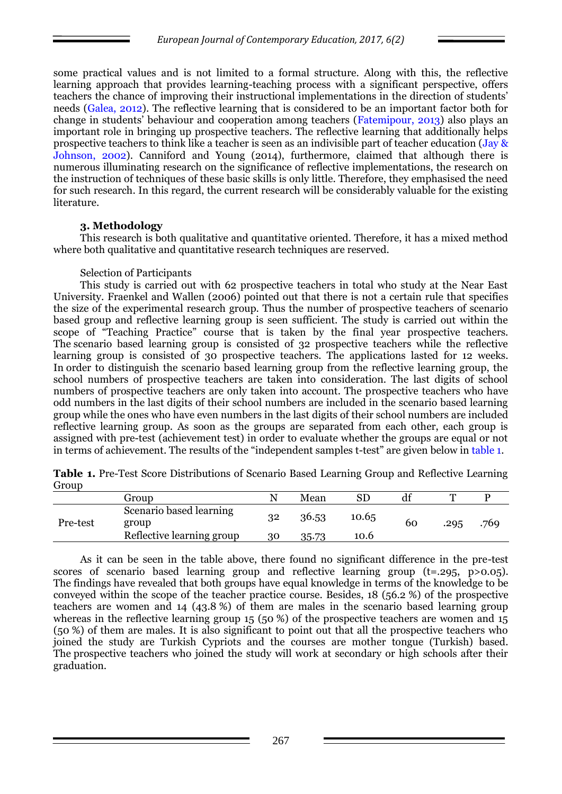some practical values and is not limited to a formal structure. Along with this, the reflective learning approach that provides learning-teaching process with a significant perspective, offers teachers the chance of improving their instructional implementations in the direction of students' needs (Galea, 2012). The reflective learning that is considered to be an important factor both for change in students' behaviour and cooperation among teachers (Fatemipour, 2013) also plays an important role in bringing up prospective teachers. The reflective learning that additionally helps prospective teachers to think like a teacher is seen as an indivisible part of teacher education (Jay & Johnson, 2002). Canniford and Young (2014), furthermore, claimed that although there is numerous illuminating research on the significance of reflective implementations, the research on the instruction of techniques of these basic skills is only little. Therefore, they emphasised the need for such research. In this regard, the current research will be considerably valuable for the existing literature.

# **3. Methodology**

This research is both qualitative and quantitative oriented. Therefore, it has a mixed method where both qualitative and quantitative research techniques are reserved.

### Selection of Participants

This study is carried out with 62 prospective teachers in total who study at the Near East University. Fraenkel and Wallen (2006) pointed out that there is not a certain rule that specifies the size of the experimental research group. Thus the number of prospective teachers of scenario based group and reflective learning group is seen sufficient. The study is carried out within the scope of "Teaching Practice" course that is taken by the final year prospective teachers. The scenario based learning group is consisted of 32 prospective teachers while the reflective learning group is consisted of 30 prospective teachers. The applications lasted for 12 weeks. In order to distinguish the scenario based learning group from the reflective learning group, the school numbers of prospective teachers are taken into consideration. The last digits of school numbers of prospective teachers are only taken into account. The prospective teachers who have odd numbers in the last digits of their school numbers are included in the scenario based learning group while the ones who have even numbers in the last digits of their school numbers are included reflective learning group. As soon as the groups are separated from each other, each group is assigned with pre-test (achievement test) in order to evaluate whether the groups are equal or not in terms of achievement. The results of the "independent samples t-test" are given below in table 1.

|       |  |  |  | Table 1. Pre-Test Score Distributions of Scenario Based Learning Group and Reflective Learning |  |
|-------|--|--|--|------------------------------------------------------------------------------------------------|--|
| Group |  |  |  |                                                                                                |  |

|          | Group                                                         |          | Mean           |               |    |      |      |
|----------|---------------------------------------------------------------|----------|----------------|---------------|----|------|------|
| Pre-test | Scenario based learning<br>group<br>Reflective learning group | 32<br>30 | 36.53<br>35.73 | 10.65<br>10.6 | 60 | .295 | .769 |
|          |                                                               |          |                |               |    |      |      |

As it can be seen in the table above, there found no significant difference in the pre-test scores of scenario based learning group and reflective learning group (t=.295, p>0.05). The findings have revealed that both groups have equal knowledge in terms of the knowledge to be conveyed within the scope of the teacher practice course. Besides, 18 (56.2 %) of the prospective teachers are women and 14 (43.8 %) of them are males in the scenario based learning group whereas in the reflective learning group 15 (50 %) of the prospective teachers are women and 15 (50 %) of them are males. It is also significant to point out that all the prospective teachers who joined the study are Turkish Cypriots and the courses are mother tongue (Turkish) based. The prospective teachers who joined the study will work at secondary or high schools after their graduation.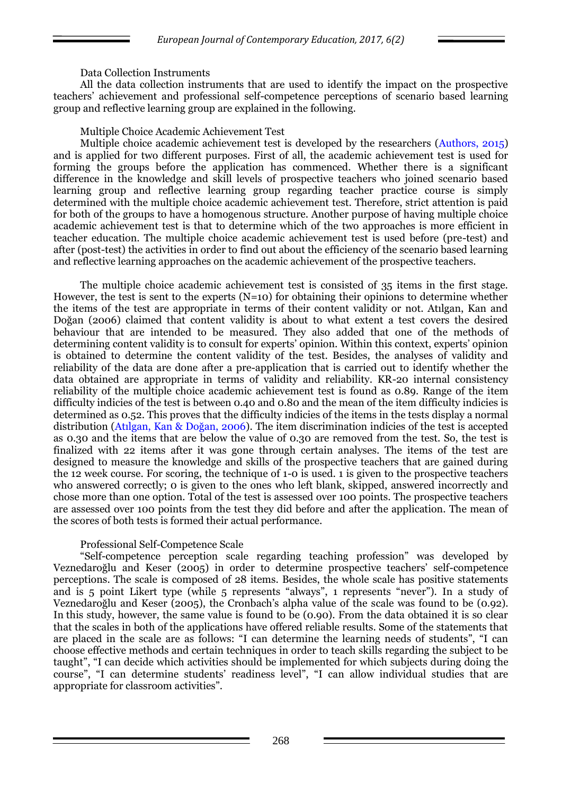### Data Collection Instruments

All the data collection instruments that are used to identify the impact on the prospective teachers' achievement and professional self-competence perceptions of scenario based learning group and reflective learning group are explained in the following.

### Multiple Choice Academic Achievement Test

Multiple choice academic achievement test is developed by the researchers (Authors, 2015) and is applied for two different purposes. First of all, the academic achievement test is used for forming the groups before the application has commenced. Whether there is a significant difference in the knowledge and skill levels of prospective teachers who joined scenario based learning group and reflective learning group regarding teacher practice course is simply determined with the multiple choice academic achievement test. Therefore, strict attention is paid for both of the groups to have a homogenous structure. Another purpose of having multiple choice academic achievement test is that to determine which of the two approaches is more efficient in teacher education. The multiple choice academic achievement test is used before (pre-test) and after (post-test) the activities in order to find out about the efficiency of the scenario based learning and reflective learning approaches on the academic achievement of the prospective teachers.

The multiple choice academic achievement test is consisted of 35 items in the first stage. However, the test is sent to the experts  $(N=10)$  for obtaining their opinions to determine whether the items of the test are appropriate in terms of their content validity or not. Atılgan, Kan and Doğan (2006) claimed that content validity is about to what extent a test covers the desired behaviour that are intended to be measured. They also added that one of the methods of determining content validity is to consult for experts' opinion. Within this context, experts' opinion is obtained to determine the content validity of the test. Besides, the analyses of validity and reliability of the data are done after a pre-application that is carried out to identify whether the data obtained are appropriate in terms of validity and reliability. KR-20 internal consistency reliability of the multiple choice academic achievement test is found as 0.89. Range of the item difficulty indicies of the test is between 0.40 and 0.80 and the mean of the item difficulty indicies is determined as 0.52. This proves that the difficulty indicies of the items in the tests display a normal distribution (Atılgan, Kan & Doğan, 2006). The item discrimination indicies of the test is accepted as 0.30 and the items that are below the value of 0.30 are removed from the test. So, the test is finalized with 22 items after it was gone through certain analyses. The items of the test are designed to measure the knowledge and skills of the prospective teachers that are gained during the 12 week course. For scoring, the technique of 1-0 is used. 1 is given to the prospective teachers who answered correctly; 0 is given to the ones who left blank, skipped, answered incorrectly and chose more than one option. Total of the test is assessed over 100 points. The prospective teachers are assessed over 100 points from the test they did before and after the application. The mean of the scores of both tests is formed their actual performance.

# Professional Self-Competence Scale

―Self-competence perception scale regarding teaching profession‖ was developed by Veznedaroğlu and Keser (2005) in order to determine prospective teachers' self-competence perceptions. The scale is composed of 28 items. Besides, the whole scale has positive statements and is 5 point Likert type (while 5 represents "always", 1 represents "never"). In a study of Veznedaroğlu and Keser (2005), the Cronbach's alpha value of the scale was found to be (0.92). In this study, however, the same value is found to be  $(0.90)$ . From the data obtained it is so clear that the scales in both of the applications have offered reliable results. Some of the statements that are placed in the scale are as follows: "I can determine the learning needs of students", "I can choose effective methods and certain techniques in order to teach skills regarding the subject to be taught", "I can decide which activities should be implemented for which subjects during doing the course", "I can determine students' readiness level", "I can allow individual studies that are appropriate for classroom activities".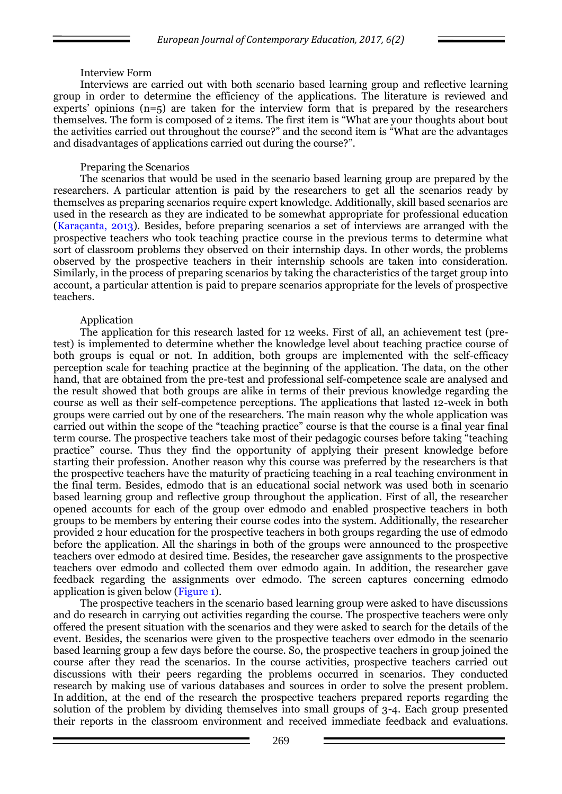#### Interview Form

Interviews are carried out with both scenario based learning group and reflective learning group in order to determine the efficiency of the applications. The literature is reviewed and experts' opinions (n=5) are taken for the interview form that is prepared by the researchers themselves. The form is composed of 2 items. The first item is "What are your thoughts about bout the activities carried out throughout the course?" and the second item is "What are the advantages" and disadvantages of applications carried out during the course?".

#### Preparing the Scenarios

The scenarios that would be used in the scenario based learning group are prepared by the researchers. A particular attention is paid by the researchers to get all the scenarios ready by themselves as preparing scenarios require expert knowledge. Additionally, skill based scenarios are used in the research as they are indicated to be somewhat appropriate for professional education (Karaçanta, 2013). Besides, before preparing scenarios a set of interviews are arranged with the prospective teachers who took teaching practice course in the previous terms to determine what sort of classroom problems they observed on their internship days. In other words, the problems observed by the prospective teachers in their internship schools are taken into consideration. Similarly, in the process of preparing scenarios by taking the characteristics of the target group into account, a particular attention is paid to prepare scenarios appropriate for the levels of prospective teachers.

### Application

The application for this research lasted for 12 weeks. First of all, an achievement test (pretest) is implemented to determine whether the knowledge level about teaching practice course of both groups is equal or not. In addition, both groups are implemented with the self-efficacy perception scale for teaching practice at the beginning of the application. The data, on the other hand, that are obtained from the pre-test and professional self-competence scale are analysed and the result showed that both groups are alike in terms of their previous knowledge regarding the course as well as their self-competence perceptions. The applications that lasted 12-week in both groups were carried out by one of the researchers. The main reason why the whole application was carried out within the scope of the "teaching practice" course is that the course is a final year final term course. The prospective teachers take most of their pedagogic courses before taking "teaching practice" course. Thus they find the opportunity of applying their present knowledge before starting their profession. Another reason why this course was preferred by the researchers is that the prospective teachers have the maturity of practicing teaching in a real teaching environment in the final term. Besides, edmodo that is an educational social network was used both in scenario based learning group and reflective group throughout the application. First of all, the researcher opened accounts for each of the group over edmodo and enabled prospective teachers in both groups to be members by entering their course codes into the system. Additionally, the researcher provided 2 hour education for the prospective teachers in both groups regarding the use of edmodo before the application. All the sharings in both of the groups were announced to the prospective teachers over edmodo at desired time. Besides, the researcher gave assignments to the prospective teachers over edmodo and collected them over edmodo again. In addition, the researcher gave feedback regarding the assignments over edmodo. The screen captures concerning edmodo application is given below (Figure 1).

The prospective teachers in the scenario based learning group were asked to have discussions and do research in carrying out activities regarding the course. The prospective teachers were only offered the present situation with the scenarios and they were asked to search for the details of the event. Besides, the scenarios were given to the prospective teachers over edmodo in the scenario based learning group a few days before the course. So, the prospective teachers in group joined the course after they read the scenarios. In the course activities, prospective teachers carried out discussions with their peers regarding the problems occurred in scenarios. They conducted research by making use of various databases and sources in order to solve the present problem. In addition, at the end of the research the prospective teachers prepared reports regarding the solution of the problem by dividing themselves into small groups of 3-4. Each group presented their reports in the classroom environment and received immediate feedback and evaluations.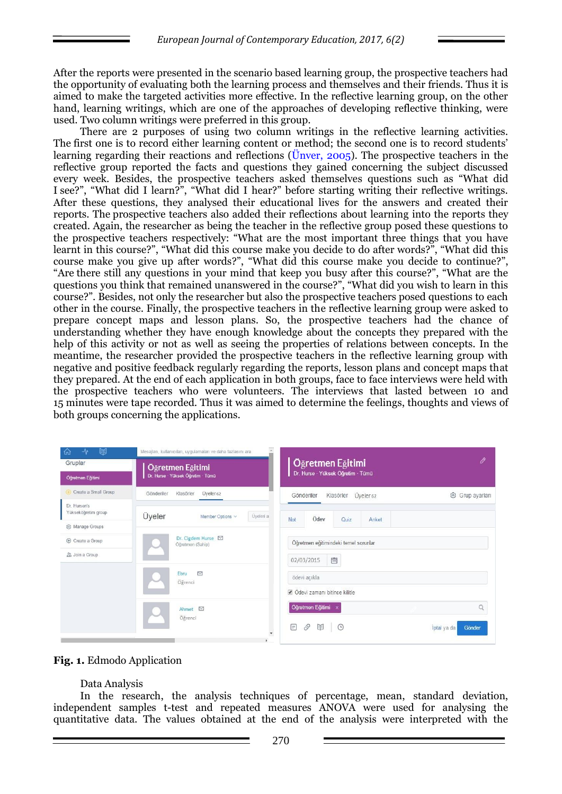After the reports were presented in the scenario based learning group, the prospective teachers had the opportunity of evaluating both the learning process and themselves and their friends. Thus it is aimed to make the targeted activities more effective. In the reflective learning group, on the other hand, learning writings, which are one of the approaches of developing reflective thinking, were used. Two column writings were preferred in this group.

There are 2 purposes of using two column writings in the reflective learning activities. The first one is to record either learning content or method; the second one is to record students' learning regarding their reactions and reflections (Ünver, 2005). The prospective teachers in the reflective group reported the facts and questions they gained concerning the subject discussed every week. Besides, the prospective teachers asked themselves questions such as "What did I see?", "What did I learn?", "What did I hear?" before starting writing their reflective writings. After these questions, they analysed their educational lives for the answers and created their reports. The prospective teachers also added their reflections about learning into the reports they created. Again, the researcher as being the teacher in the reflective group posed these questions to the prospective teachers respectively: "What are the most important three things that you have learnt in this course?", "What did this course make you decide to do after words?", "What did this course make you give up after words?", "What did this course make you decide to continue?", "Are there still any questions in your mind that keep you busy after this course?", "What are the questions you think that remained unanswered in the course?", "What did you wish to learn in this course?". Besides, not only the researcher but also the prospective teachers posed questions to each other in the course. Finally, the prospective teachers in the reflective learning group were asked to prepare concept maps and lesson plans. So, the prospective teachers had the chance of understanding whether they have enough knowledge about the concepts they prepared with the help of this activity or not as well as seeing the properties of relations between concepts. In the meantime, the researcher provided the prospective teachers in the reflective learning group with negative and positive feedback regularly regarding the reports, lesson plans and concept maps that they prepared. At the end of each application in both groups, face to face interviews were held with the prospective teachers who were volunteers. The interviews that lasted between 10 and 15 minutes were tape recorded. Thus it was aimed to determine the feelings, thoughts and views of both groups concerning the applications.

| 闽<br>⊸∿<br>砏<br>Gruplar                                                   | Mesajlan, kullanıcılan, uygulamaları ve daha fazlasını ara<br>Öğretmen Eğitimi | O<br>Öğretmen Eğitimi                                                                  |  |  |  |  |  |
|---------------------------------------------------------------------------|--------------------------------------------------------------------------------|----------------------------------------------------------------------------------------|--|--|--|--|--|
| Öğretmen Eğitimi                                                          | Dr. Hurse · Yüksek Öğretim · Tümü                                              | Dr. Hurse · Yüksek Öğretim · Tümü                                                      |  |  |  |  |  |
| Create a Small Group                                                      | Üyeler 62<br>Klasörler<br>Gönderiler                                           | Klasörler<br>Üveler <sub>62</sub><br>@ Grup ayarları<br>Gönderiler                     |  |  |  |  |  |
| Dr. Hursen's<br>Yükseköğretim group                                       | Üyeler<br>Üyeleri a<br>Member Options v                                        | Ödev<br>Not<br>Quiz<br>Anket                                                           |  |  |  |  |  |
| <sup>2</sup> Manage Groups<br><b>+ Create a Group</b><br>22. Join a Group | Dr. Cigdem Hurse ⊠<br>Öğretmen (Sahip)                                         | Öğretmen eğitimindeki temel sorunlar<br>圖<br>02/03/2015                                |  |  |  |  |  |
|                                                                           | $\triangledown$<br>Ebru<br>Öğrenci                                             | ödevi açıkla<br>Odevi zamanı bitince kilitle                                           |  |  |  |  |  |
|                                                                           | Ahmet $\boxtimes$<br>Öğrenci                                                   | Öğretmen Eğitimi x<br>Q<br>E<br>⊟<br>$\mathcal{S}$<br>$\odot$<br>Iptal ya da<br>Gönder |  |  |  |  |  |



#### Data Analysis

In the research, the analysis techniques of percentage, mean, standard deviation, independent samples t-test and repeated measures ANOVA were used for analysing the quantitative data. The values obtained at the end of the analysis were interpreted with the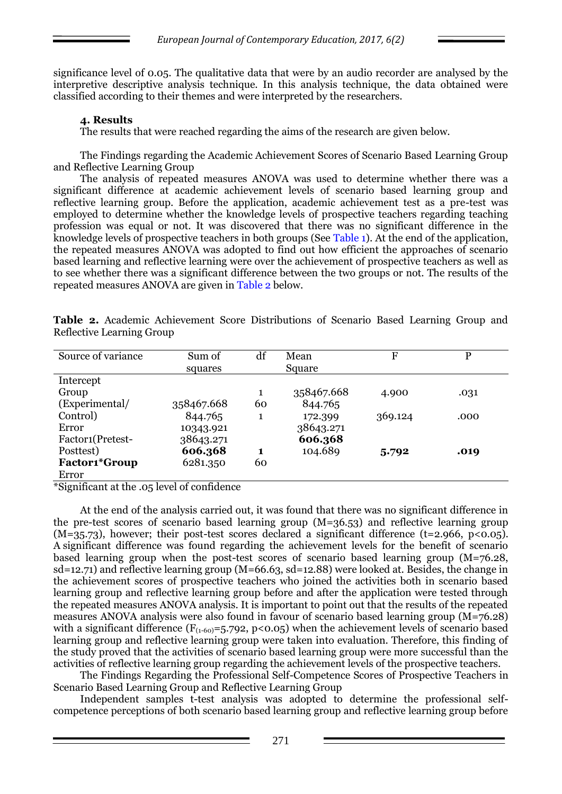significance level of 0.05. The qualitative data that were by an audio recorder are analysed by the interpretive descriptive analysis technique. In this analysis technique, the data obtained were classified according to their themes and were interpreted by the researchers.

# **4. Results**

The results that were reached regarding the aims of the research are given below.

The Findings regarding the Academic Achievement Scores of Scenario Based Learning Group and Reflective Learning Group

The analysis of repeated measures ANOVA was used to determine whether there was a significant difference at academic achievement levels of scenario based learning group and reflective learning group. Before the application, academic achievement test as a pre-test was employed to determine whether the knowledge levels of prospective teachers regarding teaching profession was equal or not. It was discovered that there was no significant difference in the knowledge levels of prospective teachers in both groups (See Table 1). At the end of the application, the repeated measures ANOVA was adopted to find out how efficient the approaches of scenario based learning and reflective learning were over the achievement of prospective teachers as well as to see whether there was a significant difference between the two groups or not. The results of the repeated measures ANOVA are given in Table 2 below.

| Source of variance   | Sum of<br>squares | df | Mean<br>Square | F       | P    |
|----------------------|-------------------|----|----------------|---------|------|
| Intercept            |                   |    |                |         |      |
| Group                |                   | 1  | 358467.668     | 4.900   | .031 |
| (Experimental/       | 358467.668        | 60 | 844.765        |         |      |
| Control)             | 844.765           | 1  | 172.399        | 369.124 | .000 |
| Error                | 10343.921         |    | 38643.271      |         |      |
| Factor1(Pretest-     | 38643.271         |    | 606.368        |         |      |
| Posttest)            | 606.368           | 1  | 104.689        | 5.792   | .019 |
| <b>Factor1*Group</b> | 6281.350          | 60 |                |         |      |
| Error                |                   |    |                |         |      |

**Table 2.** Academic Achievement Score Distributions of Scenario Based Learning Group and Reflective Learning Group

\*Significant at the .05 level of confidence

At the end of the analysis carried out, it was found that there was no significant difference in the pre-test scores of scenario based learning group (M=36.53) and reflective learning group  $(M=35.73)$ , however; their post-test scores declared a significant difference (t=2.966, p<0.05). A significant difference was found regarding the achievement levels for the benefit of scenario based learning group when the post-test scores of scenario based learning group (M=76.28, sd=12.71) and reflective learning group (M=66.63, sd=12.88) were looked at. Besides, the change in the achievement scores of prospective teachers who joined the activities both in scenario based learning group and reflective learning group before and after the application were tested through the repeated measures ANOVA analysis. It is important to point out that the results of the repeated measures ANOVA analysis were also found in favour of scenario based learning group (M=76.28) with a significant difference ( $F_{(1-60)}=5.792$ , p<0.05) when the achievement levels of scenario based learning group and reflective learning group were taken into evaluation. Therefore, this finding of the study proved that the activities of scenario based learning group were more successful than the activities of reflective learning group regarding the achievement levels of the prospective teachers.

The Findings Regarding the Professional Self-Competence Scores of Prospective Teachers in Scenario Based Learning Group and Reflective Learning Group

Independent samples t-test analysis was adopted to determine the professional selfcompetence perceptions of both scenario based learning group and reflective learning group before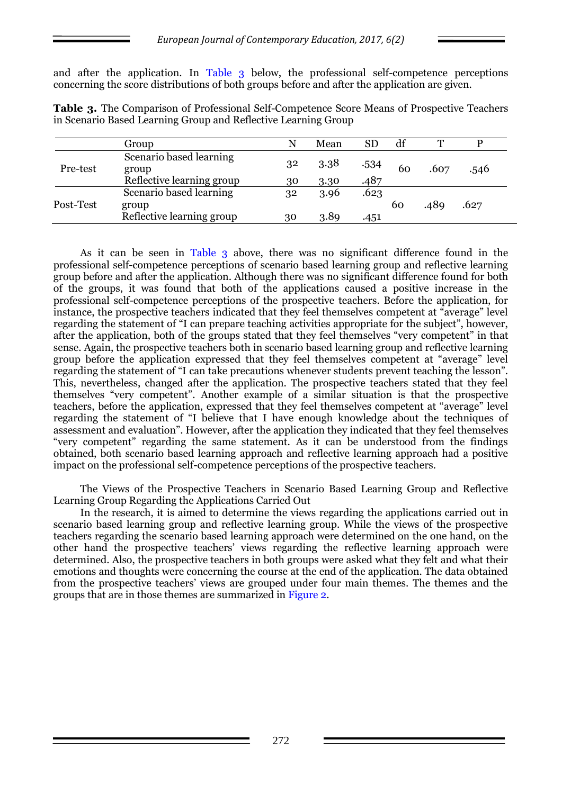and after the application. In Table 3 below, the professional self-competence perceptions concerning the score distributions of both groups before and after the application are given.

|           | Group                            |    | Mean | SD   | df | T    |      |
|-----------|----------------------------------|----|------|------|----|------|------|
| Pre-test  | Scenario based learning<br>group | 32 | 3.38 | .534 | 60 | .607 | .546 |
|           | Reflective learning group        | 30 | 3.30 | .487 |    |      |      |
| Post-Test | Scenario based learning          | 32 | 3.96 | .623 |    |      |      |
|           | group                            |    |      |      | 60 | .489 | .627 |
|           | Reflective learning group        | 30 | 3.89 | .451 |    |      |      |

**Table 3.** The Comparison of Professional Self-Competence Score Means of Prospective Teachers in Scenario Based Learning Group and Reflective Learning Group

As it can be seen in Table 3 above, there was no significant difference found in the professional self-competence perceptions of scenario based learning group and reflective learning group before and after the application. Although there was no significant difference found for both of the groups, it was found that both of the applications caused a positive increase in the professional self-competence perceptions of the prospective teachers. Before the application, for instance, the prospective teachers indicated that they feel themselves competent at "average" level regarding the statement of "I can prepare teaching activities appropriate for the subject", however, after the application, both of the groups stated that they feel themselves "very competent" in that sense. Again, the prospective teachers both in scenario based learning group and reflective learning group before the application expressed that they feel themselves competent at "average" level regarding the statement of "I can take precautions whenever students prevent teaching the lesson". This, nevertheless, changed after the application. The prospective teachers stated that they feel themselves ―very competent‖. Another example of a similar situation is that the prospective teachers, before the application, expressed that they feel themselves competent at "average" level regarding the statement of "I believe that I have enough knowledge about the techniques of assessment and evaluation". However, after the application they indicated that they feel themselves ―very competent‖ regarding the same statement. As it can be understood from the findings obtained, both scenario based learning approach and reflective learning approach had a positive impact on the professional self-competence perceptions of the prospective teachers.

The Views of the Prospective Teachers in Scenario Based Learning Group and Reflective Learning Group Regarding the Applications Carried Out

In the research, it is aimed to determine the views regarding the applications carried out in scenario based learning group and reflective learning group. While the views of the prospective teachers regarding the scenario based learning approach were determined on the one hand, on the other hand the prospective teachers' views regarding the reflective learning approach were determined. Also, the prospective teachers in both groups were asked what they felt and what their emotions and thoughts were concerning the course at the end of the application. The data obtained from the prospective teachers' views are grouped under four main themes. The themes and the groups that are in those themes are summarized in Figure 2.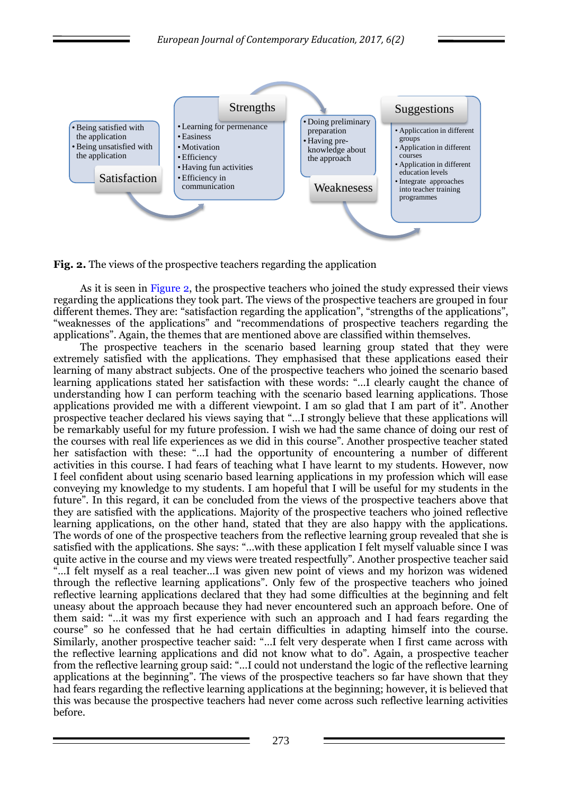

**Fig. 2.** The views of the prospective teachers regarding the application

As it is seen in Figure 2, the prospective teachers who joined the study expressed their views regarding the applications they took part. The views of the prospective teachers are grouped in four different themes. They are: "satisfaction regarding the application", "strengths of the applications", "weaknesses of the applications" and "recommendations of prospective teachers regarding the applications". Again, the themes that are mentioned above are classified within themselves.

The prospective teachers in the scenario based learning group stated that they were extremely satisfied with the applications. They emphasised that these applications eased their learning of many abstract subjects. One of the prospective teachers who joined the scenario based learning applications stated her satisfaction with these words: "...I clearly caught the chance of understanding how I can perform teaching with the scenario based learning applications. Those applications provided me with a different viewpoint. I am so glad that I am part of it". Another prospective teacher declared his views saying that "...I strongly believe that these applications will be remarkably useful for my future profession. I wish we had the same chance of doing our rest of the courses with real life experiences as we did in this course". Another prospective teacher stated her satisfaction with these: "...I had the opportunity of encountering a number of different activities in this course. I had fears of teaching what I have learnt to my students. However, now I feel confident about using scenario based learning applications in my profession which will ease conveying my knowledge to my students. I am hopeful that I will be useful for my students in the future". In this regard, it can be concluded from the views of the prospective teachers above that they are satisfied with the applications. Majority of the prospective teachers who joined reflective learning applications, on the other hand, stated that they are also happy with the applications. The words of one of the prospective teachers from the reflective learning group revealed that she is satisfied with the applications. She says: "...with these application I felt myself valuable since I was quite active in the course and my views were treated respectfully". Another prospective teacher said ―…I felt myself as a real teacher…I was given new point of views and my horizon was widened through the reflective learning applications‖. Only few of the prospective teachers who joined reflective learning applications declared that they had some difficulties at the beginning and felt uneasy about the approach because they had never encountered such an approach before. One of them said: ―…it was my first experience with such an approach and I had fears regarding the course" so he confessed that he had certain difficulties in adapting himself into the course. Similarly, another prospective teacher said: "...I felt very desperate when I first came across with the reflective learning applications and did not know what to do". Again, a prospective teacher from the reflective learning group said: "...I could not understand the logic of the reflective learning applications at the beginning". The views of the prospective teachers so far have shown that they had fears regarding the reflective learning applications at the beginning; however, it is believed that this was because the prospective teachers had never come across such reflective learning activities before.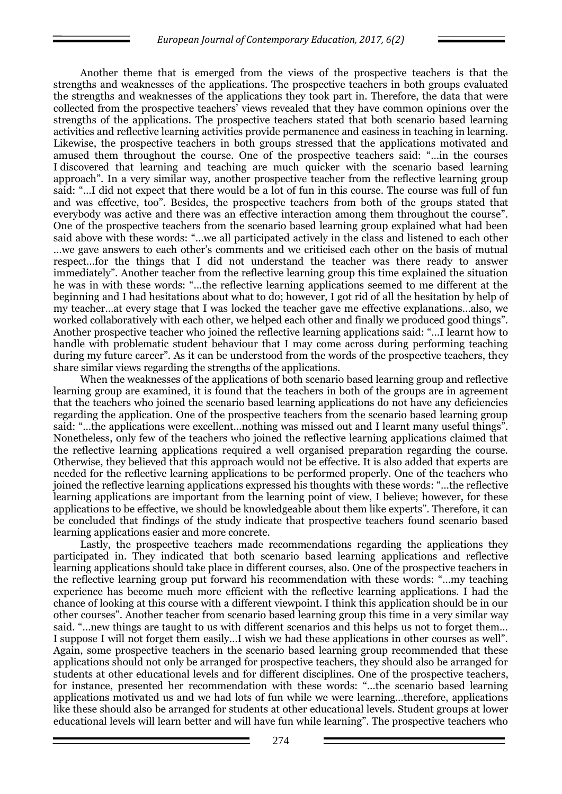Another theme that is emerged from the views of the prospective teachers is that the strengths and weaknesses of the applications. The prospective teachers in both groups evaluated the strengths and weaknesses of the applications they took part in. Therefore, the data that were collected from the prospective teachers' views revealed that they have common opinions over the strengths of the applications. The prospective teachers stated that both scenario based learning activities and reflective learning activities provide permanence and easiness in teaching in learning. Likewise, the prospective teachers in both groups stressed that the applications motivated and amused them throughout the course. One of the prospective teachers said: ―…in the courses I discovered that learning and teaching are much quicker with the scenario based learning approach". In a very similar way, another prospective teacher from the reflective learning group said: ―…I did not expect that there would be a lot of fun in this course. The course was full of fun and was effective, too". Besides, the prospective teachers from both of the groups stated that everybody was active and there was an effective interaction among them throughout the course". One of the prospective teachers from the scenario based learning group explained what had been said above with these words: "...we all participated actively in the class and listened to each other …we gave answers to each other's comments and we criticised each other on the basis of mutual respect…for the things that I did not understand the teacher was there ready to answer immediately". Another teacher from the reflective learning group this time explained the situation he was in with these words: "...the reflective learning applications seemed to me different at the beginning and I had hesitations about what to do; however, I got rid of all the hesitation by help of my teacher…at every stage that I was locked the teacher gave me effective explanations…also, we worked collaboratively with each other, we helped each other and finally we produced good things". Another prospective teacher who joined the reflective learning applications said: ―…I learnt how to handle with problematic student behaviour that I may come across during performing teaching during my future career". As it can be understood from the words of the prospective teachers, they share similar views regarding the strengths of the applications.

When the weaknesses of the applications of both scenario based learning group and reflective learning group are examined, it is found that the teachers in both of the groups are in agreement that the teachers who joined the scenario based learning applications do not have any deficiencies regarding the application. One of the prospective teachers from the scenario based learning group said: "...the applications were excellent... nothing was missed out and I learnt many useful things". Nonetheless, only few of the teachers who joined the reflective learning applications claimed that the reflective learning applications required a well organised preparation regarding the course. Otherwise, they believed that this approach would not be effective. It is also added that experts are needed for the reflective learning applications to be performed properly. One of the teachers who joined the reflective learning applications expressed his thoughts with these words: ―…the reflective learning applications are important from the learning point of view, I believe; however, for these applications to be effective, we should be knowledgeable about them like experts". Therefore, it can be concluded that findings of the study indicate that prospective teachers found scenario based learning applications easier and more concrete.

Lastly, the prospective teachers made recommendations regarding the applications they participated in. They indicated that both scenario based learning applications and reflective learning applications should take place in different courses, also. One of the prospective teachers in the reflective learning group put forward his recommendation with these words: ―…my teaching experience has become much more efficient with the reflective learning applications. I had the chance of looking at this course with a different viewpoint. I think this application should be in our other courses‖. Another teacher from scenario based learning group this time in a very similar way said. "... new things are taught to us with different scenarios and this helps us not to forget them... I suppose I will not forget them easily...I wish we had these applications in other courses as well". Again, some prospective teachers in the scenario based learning group recommended that these applications should not only be arranged for prospective teachers, they should also be arranged for students at other educational levels and for different disciplines. One of the prospective teachers, for instance, presented her recommendation with these words: "...the scenario based learning applications motivated us and we had lots of fun while we were learning…therefore, applications like these should also be arranged for students at other educational levels. Student groups at lower educational levels will learn better and will have fun while learning". The prospective teachers who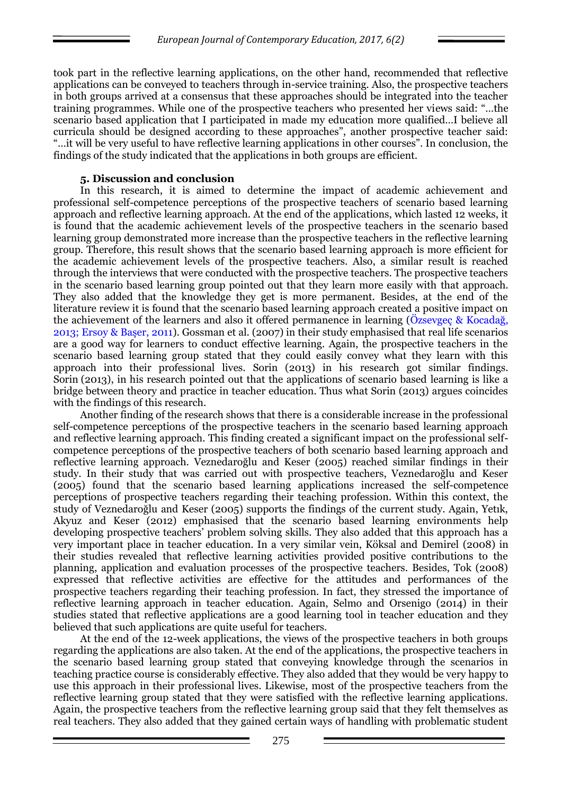took part in the reflective learning applications, on the other hand, recommended that reflective applications can be conveyed to teachers through in-service training. Also, the prospective teachers in both groups arrived at a consensus that these approaches should be integrated into the teacher training programmes. While one of the prospective teachers who presented her views said: ―…the scenario based application that I participated in made my education more qualified…I believe all curricula should be designed according to these approaches", another prospective teacher said: ―…it will be very useful to have reflective learning applications in other courses‖. In conclusion, the findings of the study indicated that the applications in both groups are efficient.

# **5. Discussion and conclusion**

In this research, it is aimed to determine the impact of academic achievement and professional self-competence perceptions of the prospective teachers of scenario based learning approach and reflective learning approach. At the end of the applications, which lasted 12 weeks, it is found that the academic achievement levels of the prospective teachers in the scenario based learning group demonstrated more increase than the prospective teachers in the reflective learning group. Therefore, this result shows that the scenario based learning approach is more efficient for the academic achievement levels of the prospective teachers. Also, a similar result is reached through the interviews that were conducted with the prospective teachers. The prospective teachers in the scenario based learning group pointed out that they learn more easily with that approach. They also added that the knowledge they get is more permanent. Besides, at the end of the literature review it is found that the scenario based learning approach created a positive impact on the achievement of the learners and also it offered permanence in learning (Özsevgeç & Kocadağ, 2013; Ersoy & Başer, 2011). Gossman et al. (2007) in their study emphasised that real life scenarios are a good way for learners to conduct effective learning. Again, the prospective teachers in the scenario based learning group stated that they could easily convey what they learn with this approach into their professional lives. Sorin (2013) in his research got similar findings. Sorin (2013), in his research pointed out that the applications of scenario based learning is like a bridge between theory and practice in teacher education. Thus what Sorin (2013) argues coincides with the findings of this research.

Another finding of the research shows that there is a considerable increase in the professional self-competence perceptions of the prospective teachers in the scenario based learning approach and reflective learning approach. This finding created a significant impact on the professional selfcompetence perceptions of the prospective teachers of both scenario based learning approach and reflective learning approach. Veznedaroğlu and Keser (2005) reached similar findings in their study. In their study that was carried out with prospective teachers, Veznedaroğlu and Keser (2005) found that the scenario based learning applications increased the self-competence perceptions of prospective teachers regarding their teaching profession. Within this context, the study of Veznedaroğlu and Keser (2005) supports the findings of the current study. Again, Yetık, Akyuz and Keser (2012) emphasised that the scenario based learning environments help developing prospective teachers' problem solving skills. They also added that this approach has a very important place in teacher education. In a very similar vein, Köksal and Demirel (2008) in their studies revealed that reflective learning activities provided positive contributions to the planning, application and evaluation processes of the prospective teachers. Besides, Tok (2008) expressed that reflective activities are effective for the attitudes and performances of the prospective teachers regarding their teaching profession. In fact, they stressed the importance of reflective learning approach in teacher education. Again, Selmo and Orsenigo (2014) in their studies stated that reflective applications are a good learning tool in teacher education and they believed that such applications are quite useful for teachers.

At the end of the 12-week applications, the views of the prospective teachers in both groups regarding the applications are also taken. At the end of the applications, the prospective teachers in the scenario based learning group stated that conveying knowledge through the scenarios in teaching practice course is considerably effective. They also added that they would be very happy to use this approach in their professional lives. Likewise, most of the prospective teachers from the reflective learning group stated that they were satisfied with the reflective learning applications. Again, the prospective teachers from the reflective learning group said that they felt themselves as real teachers. They also added that they gained certain ways of handling with problematic student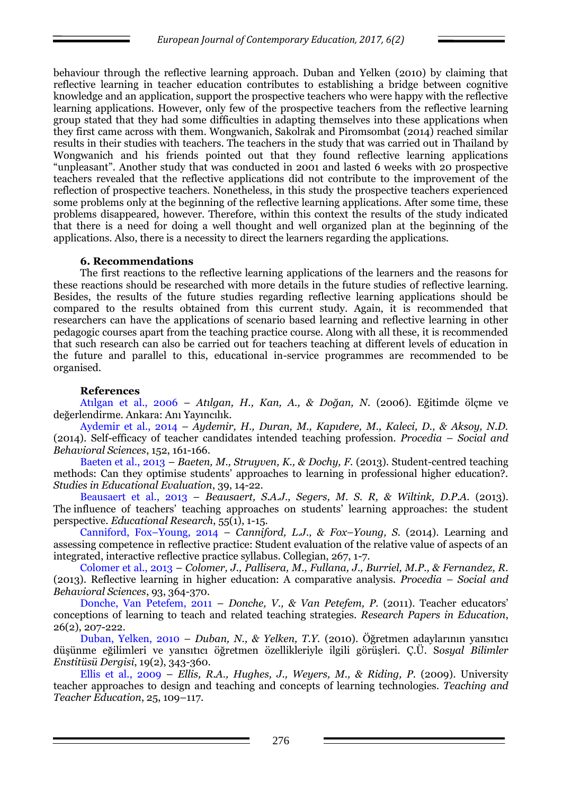behaviour through the reflective learning approach. Duban and Yelken (2010) by claiming that reflective learning in teacher education contributes to establishing a bridge between cognitive knowledge and an application, support the prospective teachers who were happy with the reflective learning applications. However, only few of the prospective teachers from the reflective learning group stated that they had some difficulties in adapting themselves into these applications when they first came across with them. Wongwanich, Sakolrak and Piromsombat (2014) reached similar results in their studies with teachers. The teachers in the study that was carried out in Thailand by Wongwanich and his friends pointed out that they found reflective learning applications ―unpleasant‖. Another study that was conducted in 2001 and lasted 6 weeks with 20 prospective teachers revealed that the reflective applications did not contribute to the improvement of the reflection of prospective teachers. Nonetheless, in this study the prospective teachers experienced some problems only at the beginning of the reflective learning applications. After some time, these problems disappeared, however. Therefore, within this context the results of the study indicated that there is a need for doing a well thought and well organized plan at the beginning of the applications. Also, there is a necessity to direct the learners regarding the applications.

### **6. Recommendations**

The first reactions to the reflective learning applications of the learners and the reasons for these reactions should be researched with more details in the future studies of reflective learning. Besides, the results of the future studies regarding reflective learning applications should be compared to the results obtained from this current study. Again, it is recommended that researchers can have the applications of scenario based learning and reflective learning in other pedagogic courses apart from the teaching practice course. Along with all these, it is recommended that such research can also be carried out for teachers teaching at different levels of education in the future and parallel to this, educational in-service programmes are recommended to be organised.

# **References**

Atılgan et al., 2006 – *Atılgan, H., Kan, A., & Doğan, N.* (2006). Eğitimde ölçme ve değerlendirme. Ankara: Anı Yayıncılık.

Aydemir et al., 2014 – *Aydemir, H., Duran, M., Kapıdere, M., Kaleci, D., & Aksoy, N.D.* (2014). Self-efficacy of teacher candidates intended teaching profession. *Procedia – Social and Behavioral Sciences*, 152, 161-166.

Baeten et al., 2013 – *Baeten, M., Struyven, K., & Dochy, F.* (2013). Student-centred teaching methods: Can they optimise students' approaches to learning in professional higher education?. *Studies in Educational Evaluation*, 39, 14-22.

Beausaert et al., 2013 – *Beausaert, S.A.J., Segers, M. S. R, & Wiltink, D.P.A.* (2013). The influence of teachers' teaching approaches on students' learning approaches: the student perspective. *Educational Research*, 55(1), 1-15.

Canniford, Fox–Young, 2014 – *Canniford, L.J., & Fox–Young, S.* (2014). Learning and assessing competence in reflective practice: Student evaluation of the relative value of aspects of an integrated, interactive reflective practice syllabus. Collegian, 267, 1-7.

Colomer et al., 2013 – *Colomer, J., Pallisera, M., Fullana, J., Burriel, M.P., & Fernandez, R.*  (2013). Reflective learning in higher education: A comparative analysis. *Procedia – Social and Behavioral Sciences*, 93, 364-370.

Donche, Van Petefem, 2011 – *Donche, V., & Van Petefem, P.* (2011). Teacher educators' conceptions of learning to teach and related teaching strategies. *Research Papers in Education*, 26(2), 207-222.

Duban, Yelken, 2010 – *Duban, N., & Yelken, T.Y.* (2010). Öğretmen adaylarının yansıtıcı düşünme eğilimleri ve yansıtıcı öğretmen özellikleriyle ilgili görüşleri. Ç.Ü. S*osyal Bilimler Enstitüsü Dergisi*, 19(2), 343-360.

Ellis et al., 2009 – *Ellis, R.A., Hughes, J., Weyers, M., & Riding, P.* (2009). University teacher approaches to design and teaching and concepts of learning technologies. *Teaching and Teacher Education*, 25, 109–117.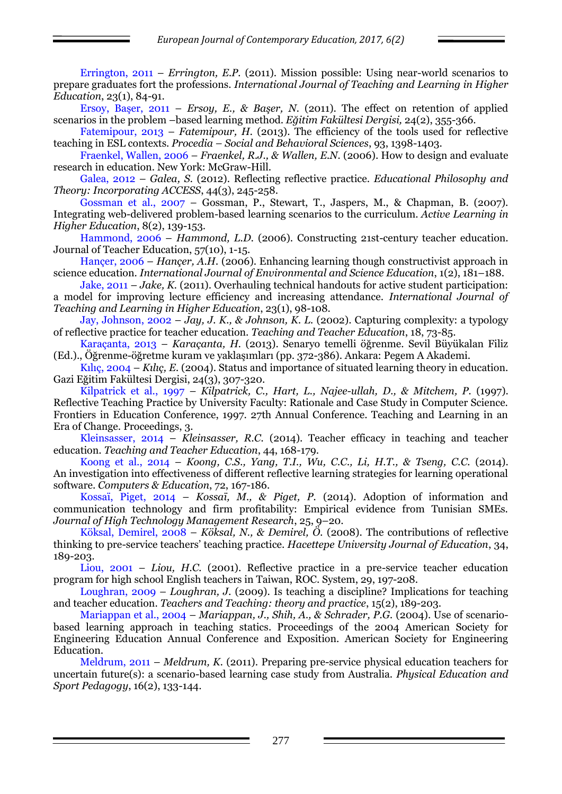Errington, 2011 – *Errington, E.P.* (2011). Mission possible: Using near-world scenarios to prepare graduates fort the professions. *International Journal of Teaching and Learning in Higher Education*, 23(1), 84-91.

Ersoy, Başer, 2011 – *Ersoy, E., & Başer, N.* (2011). The effect on retention of applied scenarios in the problem –based learning method. *Eğitim Fakültesi Dergisi,* 24(2), 355-366.

Fatemipour, 2013 – *Fatemipour, H.* (2013). The efficiency of the tools used for reflective teaching in ESL contexts. *Procedia – Social and Behavioral Sciences*, 93, 1398-1403.

Fraenkel, Wallen, 2006 – *Fraenkel, R.J., & Wallen, E.N.* (2006). How to design and evaluate research in education. New York: McGraw-Hill.

Galea, 2012 – *Galea, S.* (2012). Reflecting reflective practice. *Educational Philosophy and Theory: Incorporating ACCESS*, 44(3), 245-258.

Gossman et al., 2007 – Gossman, P., Stewart, T., Jaspers, M., & Chapman, B. (2007). Integrating web-delivered problem-based learning scenarios to the curriculum. *Active Learning in Higher Education*, 8(2), 139-153.

Hammond, 2006 – *Hammond, L.D.* (2006). Constructing 21st-century teacher education. Journal of Teacher Education, 57(10), 1-15.

Hançer, 2006 – *Hançer, A.H.* (2006). Enhancing learning though constructivist approach in science education. *International Journal of Environmental and Science Education*, 1(2), 181–188.

Jake, 2011 – *Jake, K.* (2011). Overhauling technical handouts for active student participation: a model for improving lecture efficiency and increasing attendance. *International Journal of Teaching and Learning in Higher Education*, 23(1), 98-108.

Jay, Johnson, 2002 – *Jay, J. K., & Johnson, K. L.* (2002). Capturing complexity: a typology of reflective practice for teacher education. *Teaching and Teacher Education*, 18, 73-85.

Karaçanta, 2013 – *Karaçanta, H.* (2013). Senaryo temelli öğrenme. Sevil Büyükalan Filiz (Ed.)., Öğrenme-öğretme kuram ve yaklaşımları (pp. 372-386). Ankara: Pegem A Akademi.

Kılıç, 2004 – *Kılıç, E.* (2004). Status and importance of situated learning theory in education. Gazi Eğitim Fakültesi Dergisi, 24(3), 307-320.

Kilpatrick et al., 1997 – *Kilpatrick, C., Hart, L., Najee-ullah, D., & Mitchem, P.* (1997). Reflective Teaching Practice by University Faculty: Rationale and Case Study in Computer Science. Frontiers in Education Conference, 1997. 27th Annual Conference. Teaching and Learning in an Era of Change. Proceedings, 3.

Kleinsasser, 2014 – *Kleinsasser, R.C.* (2014). Teacher efficacy in teaching and teacher education. *Teaching and Teacher Education*, 44, 168-179.

Koong et al., 2014 – *Koong, C.S., Yang, T.I., Wu, C.C., Li, H.T., & Tseng, C.C.* (2014). An investigation into effectiveness of different reflective learning strategies for learning operational software. *Computers & Education*, 72, 167-186.

Kossaï, Piget, 2014 – *Kossaï, M., & Piget, P.* (2014). Adoption of information and communication technology and firm profitability: Empirical evidence from Tunisian SMEs. *Journal of High Technology Management Research*, 25, 9–20.

Köksal, Demirel, 2008 – *Köksal, N., & Demirel, Ö.* (2008). The contributions of reflective thinking to pre-service teachers' teaching practice. *Hacettepe University Journal of Education*, 34, 189-203.

Liou, 2001 – *Liou, H.C.* (2001). Reflective practice in a pre-service teacher education program for high school English teachers in Taiwan, ROC. System, 29, 197-208.

Loughran, 2009 – *Loughran, J.* (2009). Is teaching a discipline? Implications for teaching and teacher education. *Teachers and Teaching: theory and practice*, 15(2), 189-203.

Mariappan et al., 2004 – *Mariappan, J., Shih, A., & Schrader, P.G.* (2004). Use of scenariobased learning approach in teaching statics. Proceedings of the 2004 American Society for Engineering Education Annual Conference and Exposition. American Society for Engineering Education.

Meldrum, 2011 – *Meldrum, K.* (2011). Preparing pre-service physical education teachers for uncertain future(s): a scenario-based learning case study from Australia. *Physical Education and Sport Pedagogy*, 16(2), 133-144.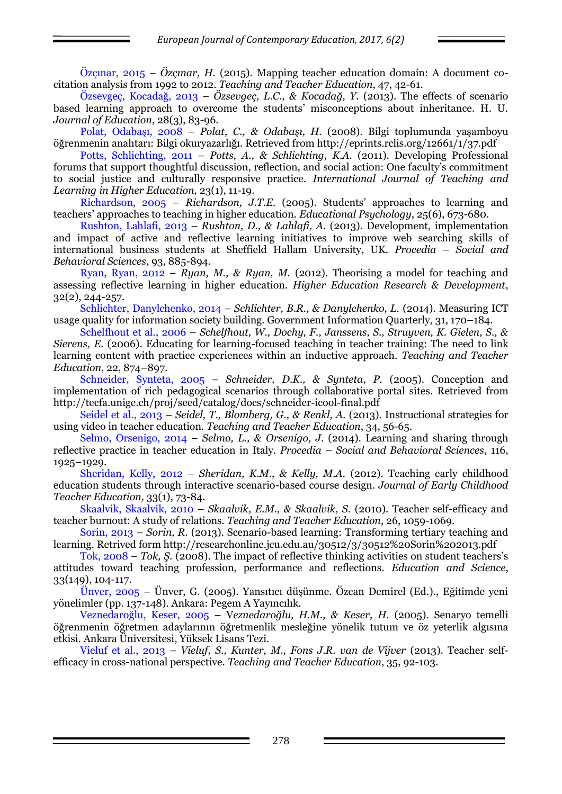Özçınar, 2015 – *Özçınar, H.* (2015). Mapping teacher education domain: A document cocitation analysis from 1992 to 2012. *Teaching and Teacher Education*, 47, 42-61.

Özsevgeç, Kocadağ, 2013 – *Özsevgeç, L.C., & Kocadağ, Y.* (2013). The effects of scenario based learning approach to overcome the students' misconceptions about inheritance. H. U. *Journal of Education*, 28(3), 83-96.

Polat, Odabaşı, 2008 – *Polat, C., & Odabaşı, H.* (2008). Bilgi toplumunda yaşamboyu öğrenmenin anahtarı: Bilgi okuryazarlığı. Retrieved from http://eprints.rclis.org/12661/1/37.pdf

Potts, Schlichting, 2011 – *Potts, A., & Schlichting, K.A.* (2011). Developing Professional forums that support thoughtful discussion, reflection, and social action: One faculty's commitment to social justice and culturally responsive practice. *International Journal of Teaching and Learning in Higher Education,* 23(1), 11-19.

Richardson, 2005 – *Richardson, J.T.E.* (2005). Students' approaches to learning and teachers' approaches to teaching in higher education. *Educational Psychology*, 25(6), 673-680.

Rushton, Lahlafi, 2013 – *Rushton, D., & Lahlafi, A.* (2013). Development, implementation and impact of active and reflective learning initiatives to improve web searching skills of international business students at Sheffield Hallam University, UK. *Procedia – Social and Behavioral Sciences*, 93, 885-894.

Ryan, Ryan, 2012 – *Ryan, M., & Ryan, M.* (2012). Theorising a model for teaching and assessing reflective learning in higher education. *Higher Education Research & Development*, 32(2), 244-257.

Schlichter, Danylchenko, 2014 – *Schlichter, B.R., & Danylchenko, L.* (2014). Measuring ICT usage quality for information society building. Government Information Quarterly, 31, 170–184.

Schelfhout et al., 2006 – *Schelfhout, W., Dochy, F., Janssens, S., Struyven, K. Gielen, S., & Sierens, E.* (2006). Educating for learning-focused teaching in teacher training: The need to link learning content with practice experiences within an inductive approach. *Teaching and Teacher Education*, 22, 874–897.

Schneider, Synteta, 2005 – *Schneider, D.K., & Synteta, P.* (2005). Conception and implementation of rich pedagogical scenarios through collaborative portal sites. Retrieved from http://tecfa.unige.ch/proj/seed/catalog/docs/schneider-icool-final.pdf

Seidel et al., 2013 – *Seidel, T., Blomberg, G., & Renkl, A.* (2013). Instructional strategies for using video in teacher education. *Teaching and Teacher Education*, 34, 56-65.

Selmo, Orsenigo, 2014 – *Selmo, L., & Orsenigo, J.* (2014). Learning and sharing through reflective practice in teacher education in Italy. *Procedia – Social and Behavioral Sciences*, 116, 1925–1929.

Sheridan, Kelly, 2012 – *Sheridan, K.M., & Kelly, M.A.* (2012). Teaching early childhood education students through interactive scenario-based course design. *Journal of Early Childhood Teacher Education,* 33(1), 73-84.

Skaalvik, Skaalvik, 2010 – *Skaalvik, E.M., & Skaalvik, S.* (2010). Teacher self-efficacy and teacher burnout: A study of relations. *Teaching and Teacher Education*, 26, 1059-1069.

Sorin, 2013 – *Sorin, R.* (2013). Scenario-based learning: Transforming tertiary teaching and learning. Retrived form http://researchonline.jcu.edu.au/30512/3/30512%20Sorin%202013.pdf

Tok, 2008 – *Tok, Ş.* (2008). The impact of reflective thinking activities on student teachers's attitudes toward teaching profession, performance and reflections. *Education and Science*, 33(149), 104-117.

Ünver, 2005 – Ünver, G. (2005). Yansıtıcı düşünme. Özcan Demirel (Ed.)., Eğitimde yeni yönelimler (pp. 137-148). Ankara: Pegem A Yayıncılık.

Veznedaroğlu, Keser, 2005 – V*eznedaroğlu, H.M., & Keser, H.* (2005). Senaryo temelli öğrenmenin öğretmen adaylarının öğretmenlik mesleğine yönelik tutum ve öz yeterlik algısına etkisi. Ankara Üniversitesi, Yüksek Lisans Tezi.

Vieluf et al., 2013 – *Vieluf, S., Kunter, M., Fons J.R. van de Vijver* (2013). Teacher selfefficacy in cross-national perspective. *Teaching and Teacher Education*, 35, 92-103.